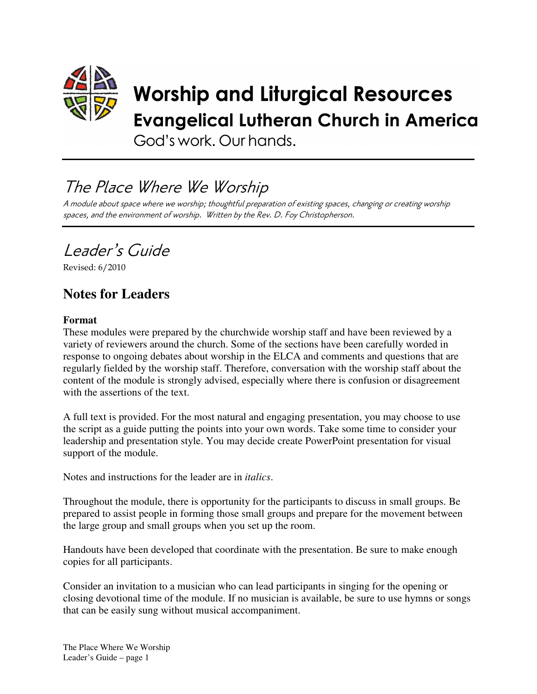

God's work. Our hands.

# The Place Where We Worship

A module about space where we worship; thoughtful preparation of existing spaces, changing or creating worship spaces, and the environment of worship. Written by the Rev. D. Foy Christopherson.

# Leader's Guide

Revised: 6/2010

# **Notes for Leaders**

#### **Format**

These modules were prepared by the churchwide worship staff and have been reviewed by a variety of reviewers around the church. Some of the sections have been carefully worded in response to ongoing debates about worship in the ELCA and comments and questions that are regularly fielded by the worship staff. Therefore, conversation with the worship staff about the content of the module is strongly advised, especially where there is confusion or disagreement with the assertions of the text.

A full text is provided. For the most natural and engaging presentation, you may choose to use the script as a guide putting the points into your own words. Take some time to consider your leadership and presentation style. You may decide create PowerPoint presentation for visual support of the module.

Notes and instructions for the leader are in *italics*.

Throughout the module, there is opportunity for the participants to discuss in small groups. Be prepared to assist people in forming those small groups and prepare for the movement between the large group and small groups when you set up the room.

Handouts have been developed that coordinate with the presentation. Be sure to make enough copies for all participants.

Consider an invitation to a musician who can lead participants in singing for the opening or closing devotional time of the module. If no musician is available, be sure to use hymns or songs that can be easily sung without musical accompaniment.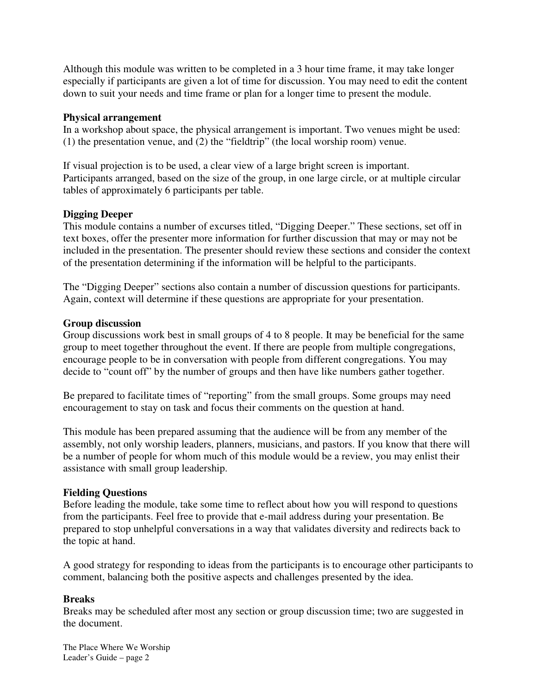Although this module was written to be completed in a 3 hour time frame, it may take longer especially if participants are given a lot of time for discussion. You may need to edit the content down to suit your needs and time frame or plan for a longer time to present the module.

#### **Physical arrangement**

In a workshop about space, the physical arrangement is important. Two venues might be used: (1) the presentation venue, and (2) the "fieldtrip" (the local worship room) venue.

If visual projection is to be used, a clear view of a large bright screen is important. Participants arranged, based on the size of the group, in one large circle, or at multiple circular tables of approximately 6 participants per table.

#### **Digging Deeper**

This module contains a number of excurses titled, "Digging Deeper." These sections, set off in text boxes, offer the presenter more information for further discussion that may or may not be included in the presentation. The presenter should review these sections and consider the context of the presentation determining if the information will be helpful to the participants.

The "Digging Deeper" sections also contain a number of discussion questions for participants. Again, context will determine if these questions are appropriate for your presentation.

#### **Group discussion**

Group discussions work best in small groups of 4 to 8 people. It may be beneficial for the same group to meet together throughout the event. If there are people from multiple congregations, encourage people to be in conversation with people from different congregations. You may decide to "count off" by the number of groups and then have like numbers gather together.

Be prepared to facilitate times of "reporting" from the small groups. Some groups may need encouragement to stay on task and focus their comments on the question at hand.

This module has been prepared assuming that the audience will be from any member of the assembly, not only worship leaders, planners, musicians, and pastors. If you know that there will be a number of people for whom much of this module would be a review, you may enlist their assistance with small group leadership.

#### **Fielding Questions**

Before leading the module, take some time to reflect about how you will respond to questions from the participants. Feel free to provide that e-mail address during your presentation. Be prepared to stop unhelpful conversations in a way that validates diversity and redirects back to the topic at hand.

A good strategy for responding to ideas from the participants is to encourage other participants to comment, balancing both the positive aspects and challenges presented by the idea.

#### **Breaks**

Breaks may be scheduled after most any section or group discussion time; two are suggested in the document.

The Place Where We Worship Leader's Guide – page 2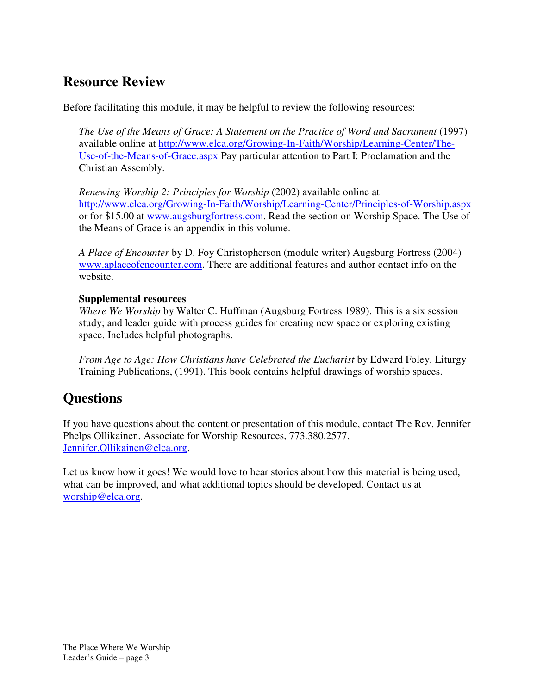# **Resource Review**

Before facilitating this module, it may be helpful to review the following resources:

*The Use of the Means of Grace: A Statement on the Practice of Word and Sacrament* (1997) available online at http://www.elca.org/Growing-In-Faith/Worship/Learning-Center/The-Use-of-the-Means-of-Grace.aspx Pay particular attention to Part I: Proclamation and the Christian Assembly.

*Renewing Worship 2: Principles for Worship* (2002) available online at http://www.elca.org/Growing-In-Faith/Worship/Learning-Center/Principles-of-Worship.aspx or for \$15.00 at www.augsburgfortress.com. Read the section on Worship Space. The Use of the Means of Grace is an appendix in this volume.

*A Place of Encounter* by D. Foy Christopherson (module writer) Augsburg Fortress (2004) www.aplaceofencounter.com. There are additional features and author contact info on the website.

#### **Supplemental resources**

*Where We Worship* by Walter C. Huffman (Augsburg Fortress 1989). This is a six session study; and leader guide with process guides for creating new space or exploring existing space. Includes helpful photographs.

*From Age to Age: How Christians have Celebrated the Eucharist* by Edward Foley. Liturgy Training Publications, (1991). This book contains helpful drawings of worship spaces.

# **Questions**

If you have questions about the content or presentation of this module, contact The Rev. Jennifer Phelps Ollikainen, Associate for Worship Resources, 773.380.2577, Jennifer.Ollikainen@elca.org.

Let us know how it goes! We would love to hear stories about how this material is being used, what can be improved, and what additional topics should be developed. Contact us at worship@elca.org.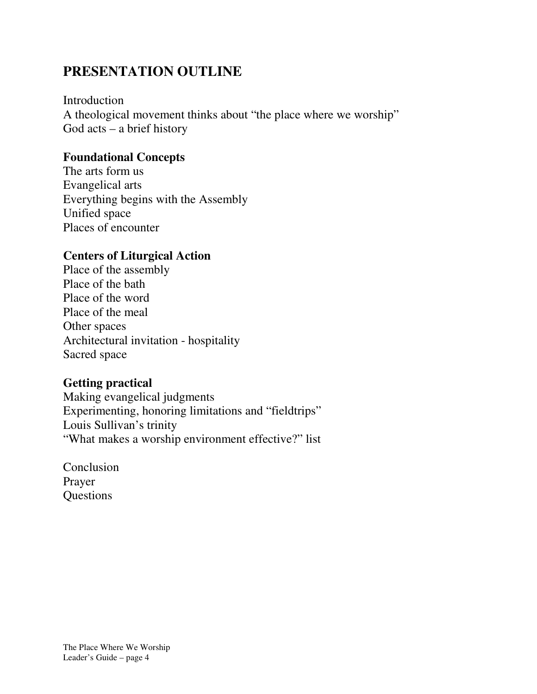# **PRESENTATION OUTLINE**

Introduction A theological movement thinks about "the place where we worship" God acts – a brief history

#### **Foundational Concepts**

The arts form us Evangelical arts Everything begins with the Assembly Unified space Places of encounter

## **Centers of Liturgical Action**

Place of the assembly Place of the bath Place of the word Place of the meal Other spaces Architectural invitation - hospitality Sacred space

#### **Getting practical**

Making evangelical judgments Experimenting, honoring limitations and "fieldtrips" Louis Sullivan's trinity "What makes a worship environment effective?" list

Conclusion Prayer Questions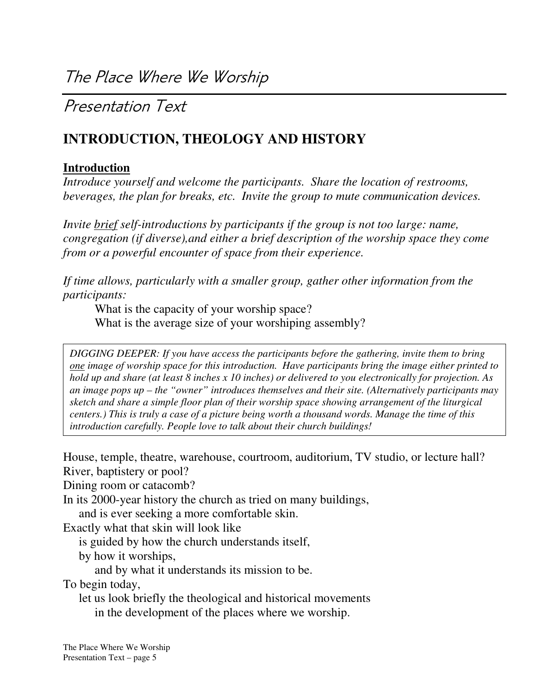# The Place Where We Worship

Presentation Text

# **INTRODUCTION, THEOLOGY AND HISTORY**

#### **Introduction**

*Introduce yourself and welcome the participants. Share the location of restrooms, beverages, the plan for breaks, etc. Invite the group to mute communication devices.*

*Invite brief self-introductions by participants if the group is not too large: name, congregation (if diverse),and either a brief description of the worship space they come from or a powerful encounter of space from their experience.*

*If time allows, particularly with a smaller group, gather other information from the participants:*

What is the capacity of your worship space? What is the average size of your worshiping assembly?

*DIGGING DEEPER: If you have access the participants before the gathering, invite them to bring one image of worship space for this introduction. Have participants bring the image either printed to* hold up and share (at least  $\delta$  inches  $x$  10 inches) or delivered to you electronically for projection. As *an image pops up – the "owner" introduces themselves and their site. (Alternatively participants may sketch and share a simple floor plan of their worship space showing arrangement of the liturgical* centers.) This is truly a case of a picture being worth a thousand words. Manage the time of this *introduction carefully. People love to talk about their church buildings!*

House, temple, theatre, warehouse, courtroom, auditorium, TV studio, or lecture hall? River, baptistery or pool?

Dining room or catacomb?

In its 2000-year history the church as tried on many buildings,

and is ever seeking a more comfortable skin.

Exactly what that skin will look like

is guided by how the church understands itself,

by how it worships,

and by what it understands its mission to be.

To begin today,

let us look briefly the theological and historical movements

in the development of the places where we worship.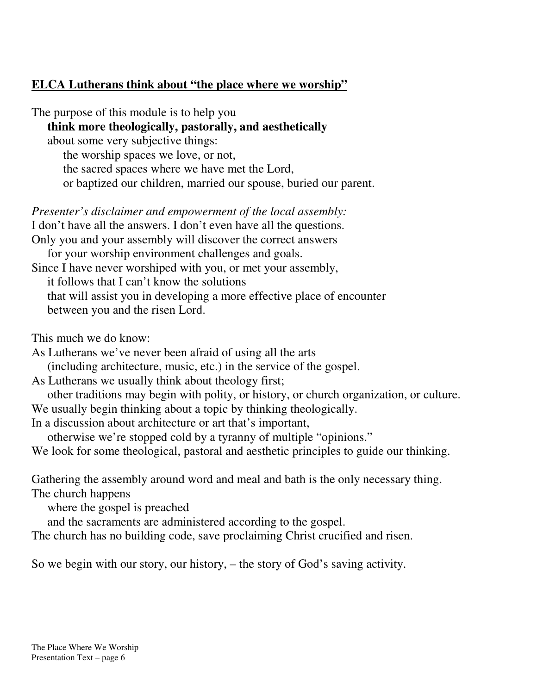## **ELCA Lutherans think about "the place where we worship"**

The purpose of this module is to help you

**think more theologically, pastorally, and aesthetically**

about some very subjective things:

the worship spaces we love, or not,

the sacred spaces where we have met the Lord,

or baptized our children, married our spouse, buried our parent.

*Presenter's disclaimer and empowerment of the local assembly:* I don't have all the answers. I don't even have all the questions. Only you and your assembly will discover the correct answers for your worship environment challenges and goals. Since I have never worshiped with you, or met your assembly, it follows that I can't know the solutions that will assist you in developing a more effective place of encounter between you and the risen Lord.

This much we do know:

As Lutherans we've never been afraid of using all the arts (including architecture, music, etc.) in the service of the gospel.

As Lutherans we usually think about theology first;

other traditions may begin with polity, or history, or church organization, or culture. We usually begin thinking about a topic by thinking theologically.

In a discussion about architecture or art that's important,

otherwise we're stopped cold by a tyranny of multiple "opinions."

We look for some theological, pastoral and aesthetic principles to guide our thinking.

Gathering the assembly around word and meal and bath is the only necessary thing. The church happens

where the gospel is preached

and the sacraments are administered according to the gospel.

The church has no building code, save proclaiming Christ crucified and risen.

So we begin with our story, our history, – the story of God's saving activity.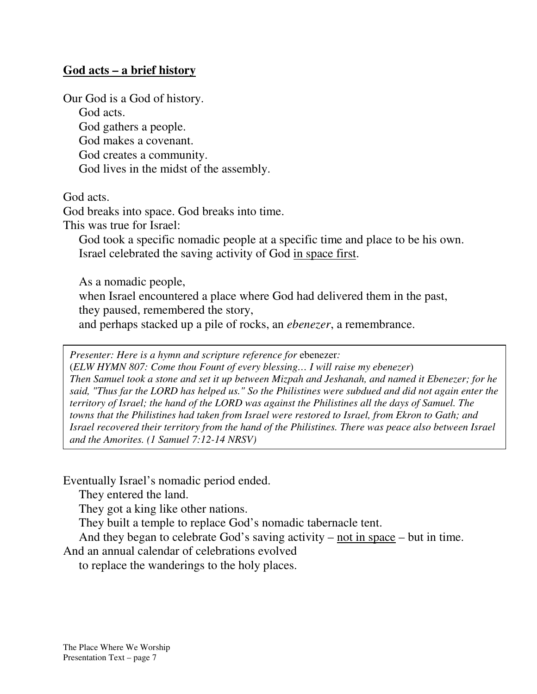#### **God acts – a brief history**

Our God is a God of history. God acts. God gathers a people. God makes a covenant. God creates a community. God lives in the midst of the assembly.

God acts.

God breaks into space. God breaks into time.

This was true for Israel:

God took a specific nomadic people at a specific time and place to be his own. Israel celebrated the saving activity of God in space first.

As a nomadic people, when Israel encountered a place where God had delivered them in the past, they paused, remembered the story, and perhaps stacked up a pile of rocks, an *ebenezer*, a remembrance.

*Presenter: Here is a hymn and scripture reference for* ebenezer*:*

(*ELW HYMN 807: Come thou Fount of every blessing… I will raise my ebenezer*) Then Samuel took a stone and set it up between Mizpah and Jeshanah, and named it Ebenezer; for he said, "Thus far the LORD has helped us." So the Philistines were subdued and did not again enter the *territory of Israel; the hand of the LORD was against the Philistines all the days of Samuel. The towns that the Philistines had taken from Israel were restored to Israel, from Ekron to Gath; and Israel recovered their territory from the hand of the Philistines. There was peace also between Israel and the Amorites. (1 Samuel 7:12-14 NRSV)*

Eventually Israel's nomadic period ended.

They entered the land.

They got a king like other nations.

They built a temple to replace God's nomadic tabernacle tent.

And they began to celebrate God's saving activity – not in space – but in time.

And an annual calendar of celebrations evolved

to replace the wanderings to the holy places.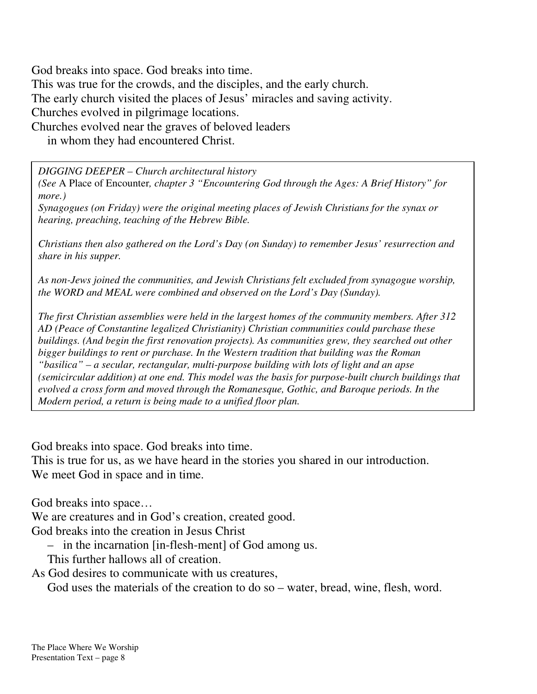God breaks into space. God breaks into time. This was true for the crowds, and the disciples, and the early church. The early church visited the places of Jesus' miracles and saving activity. Churches evolved in pilgrimage locations. Churches evolved near the graves of beloved leaders

in whom they had encountered Christ.

*DIGGING DEEPER – Church architectural history*

*(See* A Place of Encounter*, chapter 3 "Encountering God through the Ages: A Brief History" for more.)*

*Synagogues (on Friday) were the original meeting places of Jewish Christians for the synax or hearing, preaching, teaching of the Hebrew Bible.*

*Christians then also gathered on the Lord's Day (on Sunday) to remember Jesus' resurrection and share in his supper.*

*As non-Jews joined the communities, and Jewish Christians felt excluded from synagogue worship, the WORD and MEAL were combined and observed on the Lord's Day (Sunday).*

*The first Christian assemblies were held in the largest homes of the community members. After 312 AD (Peace of Constantine legalized Christianity) Christian communities could purchase these buildings. (And begin the first renovation projects). As communities grew, they searched out other bigger buildings to rent or purchase. In the Western tradition that building was the Roman "basilica" – a secular, rectangular, multi-purpose building with lots of light and an apse (semicircular addition) at one end. This model was the basis for purpose-built church buildings that evolved a cross form and moved through the Romanesque, Gothic, and Baroque periods. In the Modern period, a return is being made to a unified floor plan.*

God breaks into space. God breaks into time.

This is true for us, as we have heard in the stories you shared in our introduction. We meet God in space and in time.

God breaks into space…

We are creatures and in God's creation, created good.

God breaks into the creation in Jesus Christ

- in the incarnation [in-flesh-ment] of God among us.
- This further hallows all of creation.

As God desires to communicate with us creatures,

God uses the materials of the creation to do so – water, bread, wine, flesh, word.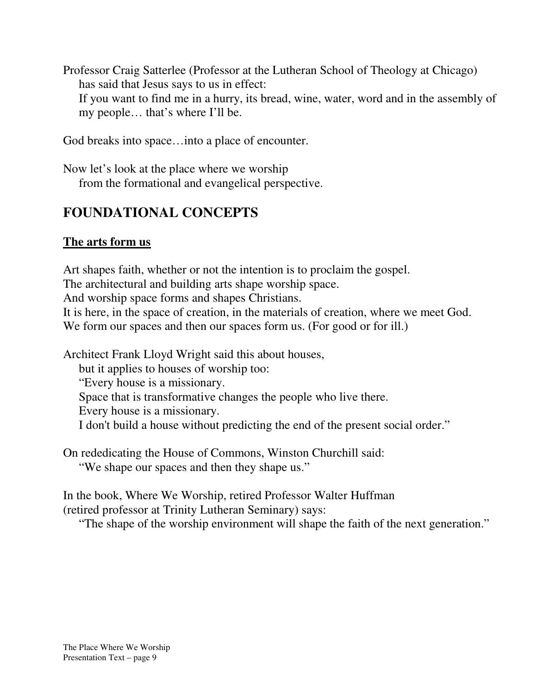Professor Craig Satterlee (Professor at the Lutheran School of Theology at Chicago) has said that Jesus says to us in effect: If you want to find me in a hurry, its bread, wine, water, word and in the assembly of my people… that's where I'll be.

God breaks into space…into a place of encounter.

Now let's look at the place where we worship from the formational and evangelical perspective.

# **FOUNDATIONAL CONCEPTS**

## **The arts form us**

Art shapes faith, whether or not the intention is to proclaim the gospel. The architectural and building arts shape worship space. And worship space forms and shapes Christians. It is here, in the space of creation, in the materials of creation, where we meet God. We form our spaces and then our spaces form us. (For good or for ill.)

Architect Frank Lloyd Wright said this about houses,

but it applies to houses of worship too:

"Every house is a missionary.

Space that is transformative changes the people who live there.

Every house is a missionary.

I don't build a house without predicting the end of the present social order."

On rededicating the House of Commons, Winston Churchill said: "We shape our spaces and then they shape us."

In the book, Where We Worship, retired Professor Walter Huffman (retired professor at Trinity Lutheran Seminary) says:

"The shape of the worship environment will shape the faith of the next generation."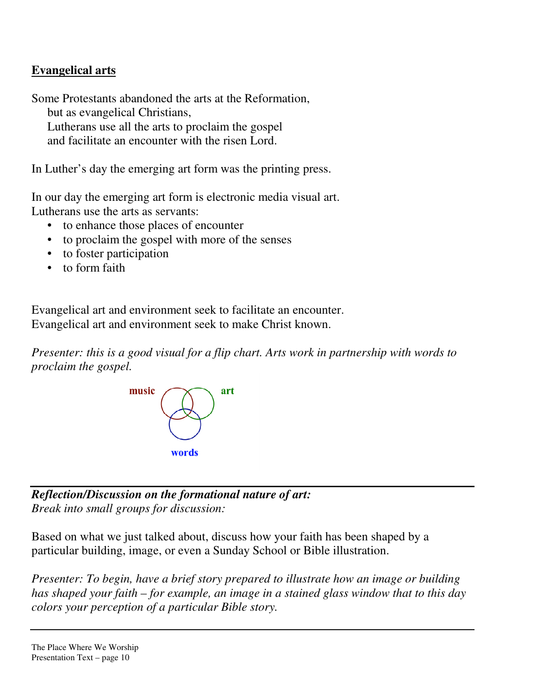## **Evangelical arts**

Some Protestants abandoned the arts at the Reformation, but as evangelical Christians, Lutherans use all the arts to proclaim the gospel and facilitate an encounter with the risen Lord.

In Luther's day the emerging art form was the printing press.

In our day the emerging art form is electronic media visual art. Lutherans use the arts as servants:

- to enhance those places of encounter
- to proclaim the gospel with more of the senses
- to foster participation
- to form faith

Evangelical art and environment seek to facilitate an encounter. Evangelical art and environment seek to make Christ known.

*Presenter: this is a good visual for a flip chart. Arts work in partnership with words to proclaim the gospel.*



*Reflection/Discussion on the formational nature of art: Break into small groups for discussion:*

Based on what we just talked about, discuss how your faith has been shaped by a particular building, image, or even a Sunday School or Bible illustration.

*Presenter: To begin, have a brief story prepared to illustrate how an image or building has shaped your faith – for example, an image in a stained glass window that to this day colors your perception of a particular Bible story.*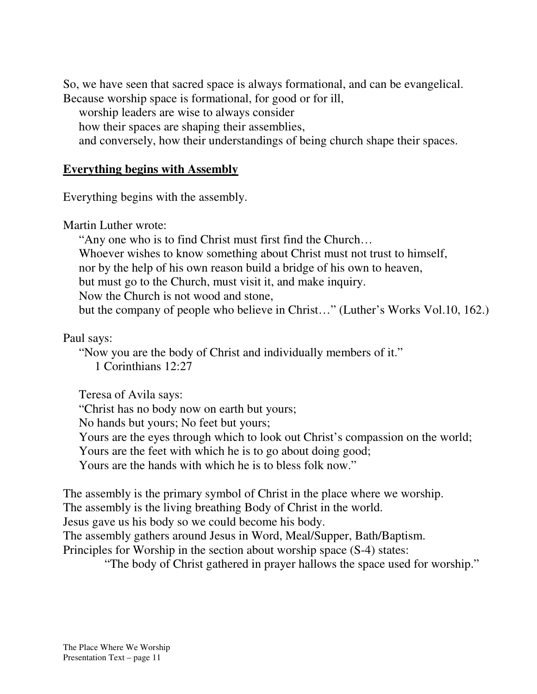So, we have seen that sacred space is always formational, and can be evangelical. Because worship space is formational, for good or for ill,

worship leaders are wise to always consider

how their spaces are shaping their assemblies,

and conversely, how their understandings of being church shape their spaces.

#### **Everything begins with Assembly**

Everything begins with the assembly.

Martin Luther wrote:

"Any one who is to find Christ must first find the Church… Whoever wishes to know something about Christ must not trust to himself, nor by the help of his own reason build a bridge of his own to heaven, but must go to the Church, must visit it, and make inquiry. Now the Church is not wood and stone, but the company of people who believe in Christ…" (Luther's Works Vol.10, 162.)

Paul says:

"Now you are the body of Christ and individually members of it." 1 Corinthians 12:27

Teresa of Avila says: "Christ has no body now on earth but yours; No hands but yours; No feet but yours; Yours are the eyes through which to look out Christ's compassion on the world; Yours are the feet with which he is to go about doing good; Yours are the hands with which he is to bless folk now."

The assembly is the primary symbol of Christ in the place where we worship. The assembly is the living breathing Body of Christ in the world. Jesus gave us his body so we could become his body. The assembly gathers around Jesus in Word, Meal/Supper, Bath/Baptism. Principles for Worship in the section about worship space (S-4) states:

"The body of Christ gathered in prayer hallows the space used for worship."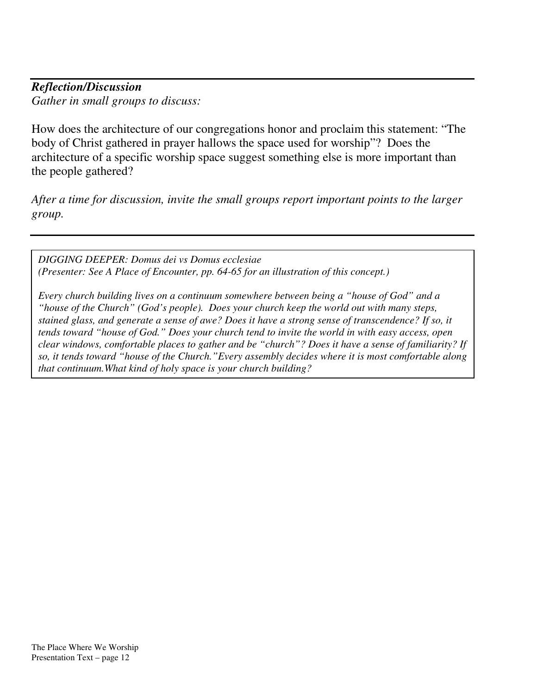#### *Reflection/Discussion Gather in small groups to discuss:*

How does the architecture of our congregations honor and proclaim this statement: "The body of Christ gathered in prayer hallows the space used for worship"? Does the architecture of a specific worship space suggest something else is more important than the people gathered?

*After a time for discussion, invite the small groups report important points to the larger group.*

*DIGGING DEEPER: Domus dei vs Domus ecclesiae (Presenter: See A Place of Encounter, pp. 64-65 for an illustration of this concept.)*

*Every church building lives on a continuum somewhere between being a "house of God" and a "house of the Church" (God's people). Does your church keep the world out with many steps,* stained glass, and generate a sense of awe? Does it have a strong sense of transcendence? If so, it *tends toward "house of God." Does your church tend to invite the world in with easy access, open clear windows, comfortable places to gather and be "church"? Does it have a sense of familiarity? If so, it tends toward "house of the Church."Every assembly decides where it is most comfortable along that continuum.What kind of holy space is your church building?*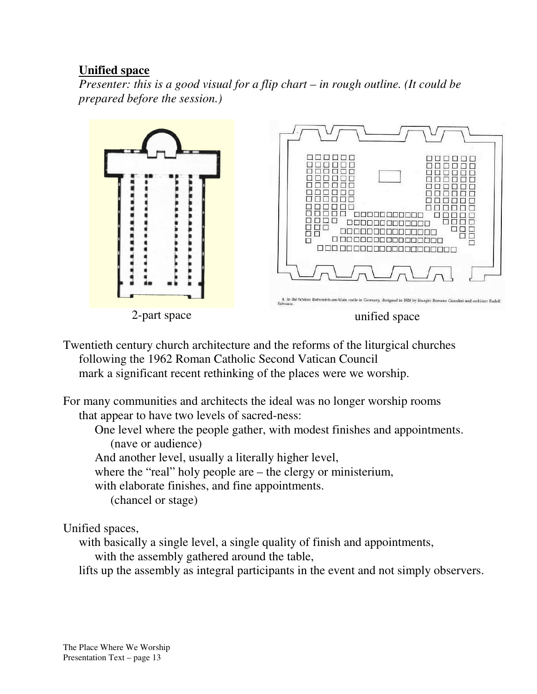#### **Unified space**

*Presenter: this is a good visual for a flip chart – in rough outline. (It could be prepared before the session.)*



Twentieth century church architecture and the reforms of the liturgical churches following the 1962 Roman Catholic Second Vatican Council mark a significant recent rethinking of the places were we worship.

For many communities and architects the ideal was no longer worship rooms that appear to have two levels of sacred-ness:

One level where the people gather, with modest finishes and appointments. (nave or audience)

And another level, usually a literally higher level,

where the "real" holy people are – the clergy or ministerium,

with elaborate finishes, and fine appointments.

(chancel or stage)

Unified spaces,

with basically a single level, a single quality of finish and appointments,

with the assembly gathered around the table,

lifts up the assembly as integral participants in the event and not simply observers.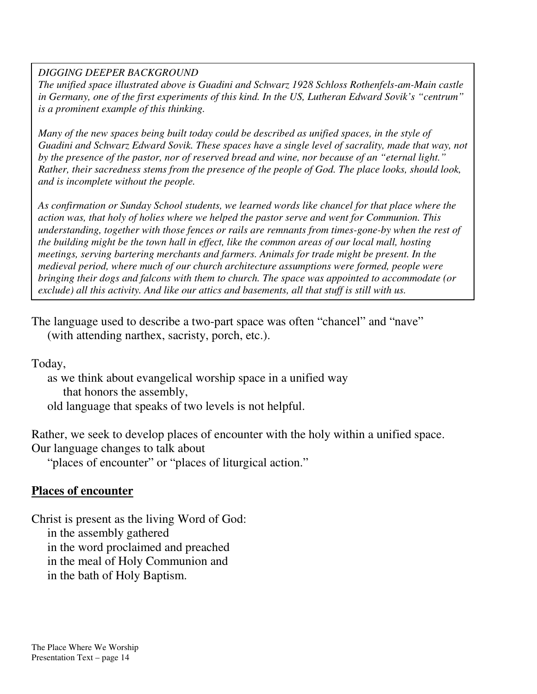#### *DIGGING DEEPER BACKGROUND*

*The unified space illustrated above is Guadini and Schwarz 1928 Schloss Rothenfels-am-Main castle in Germany, one of the first experiments of this kind. In the US, Lutheran Edward Sovik's "centrum" is a prominent example of this thinking.*

*Many of the new spaces being built today could be described as unified spaces, in the style of Guadini and Schwarz Edward Sovik. These spaces have a single level of sacrality, made that way, not by the presence of the pastor, nor of reserved bread and wine, nor because of an "eternal light." Rather, their sacredness stems from the presence of the people of God. The place looks, should look, and is incomplete without the people.*

*As confirmation or Sunday School students, we learned words like chancel for that place where the action was, that holy of holies where we helped the pastor serve and went for Communion. This understanding, together with those fences or rails are remnants from times-gone-by when the rest of the building might be the town hall in effect, like the common areas of our local mall, hosting meetings, serving bartering merchants and farmers. Animals for trade might be present. In the medieval period, where much of our church architecture assumptions were formed, people were bringing their dogs and falcons with them to church. The space was appointed to accommodate (or exclude) all this activity. And like our attics and basements, all that stuff is still with us.*

The language used to describe a two-part space was often "chancel" and "nave" (with attending narthex, sacristy, porch, etc.).

Today,

as we think about evangelical worship space in a unified way that honors the assembly, old language that speaks of two levels is not helpful.

Rather, we seek to develop places of encounter with the holy within a unified space. Our language changes to talk about

"places of encounter" or "places of liturgical action."

## **Places of encounter**

Christ is present as the living Word of God:

in the assembly gathered

in the word proclaimed and preached

in the meal of Holy Communion and

in the bath of Holy Baptism.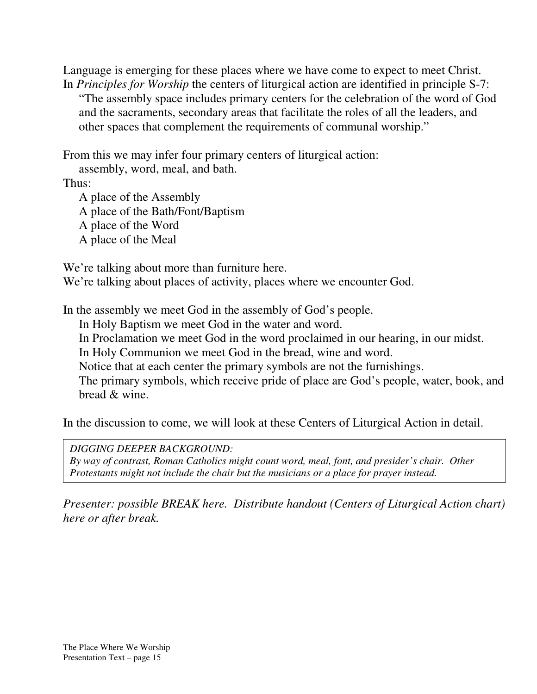Language is emerging for these places where we have come to expect to meet Christ. In *Principles for Worship* the centers of liturgical action are identified in principle S-7: "The assembly space includes primary centers for the celebration of the word of God and the sacraments, secondary areas that facilitate the roles of all the leaders, and other spaces that complement the requirements of communal worship."

From this we may infer four primary centers of liturgical action:

assembly, word, meal, and bath.

Thus:

A place of the Assembly A place of the Bath/Font/Baptism A place of the Word A place of the Meal

We're talking about more than furniture here. We're talking about places of activity, places where we encounter God.

In the assembly we meet God in the assembly of God's people.

In Holy Baptism we meet God in the water and word.

In Proclamation we meet God in the word proclaimed in our hearing, in our midst.

In Holy Communion we meet God in the bread, wine and word.

Notice that at each center the primary symbols are not the furnishings.

The primary symbols, which receive pride of place are God's people, water, book, and bread & wine.

In the discussion to come, we will look at these Centers of Liturgical Action in detail.

*DIGGING DEEPER BACKGROUND:*

*By way of contrast, Roman Catholics might count word, meal, font, and presider's chair. Other Protestants might not include the chair but the musicians or a place for prayer instead.*

*Presenter: possible BREAK here. Distribute handout (Centers of Liturgical Action chart) here or after break.*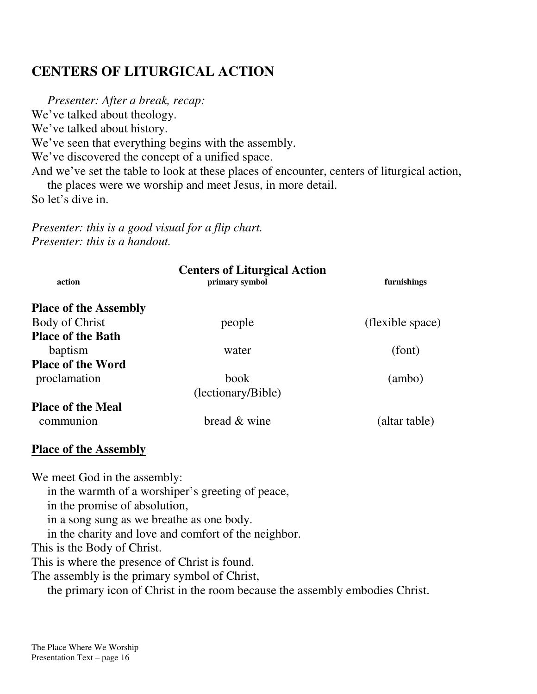# **CENTERS OF LITURGICAL ACTION**

*Presenter: After a break, recap:* We've talked about theology. We've talked about history. We've seen that everything begins with the assembly. We've discovered the concept of a unified space. And we've set the table to look at these places of encounter, centers of liturgical action, the places were we worship and meet Jesus, in more detail. So let's dive in.

*Presenter: this is a good visual for a flip chart. Presenter: this is a handout.*

| action                       | <b>Centers of Liturgical Action</b><br>primary symbol | furnishings      |
|------------------------------|-------------------------------------------------------|------------------|
| <b>Place of the Assembly</b> |                                                       |                  |
| <b>Body of Christ</b>        | people                                                | (flexible space) |
| <b>Place of the Bath</b>     |                                                       |                  |
| baptism                      | water                                                 | (font)           |
| <b>Place of the Word</b>     |                                                       |                  |
| proclamation                 | book                                                  | (ambo)           |
|                              | (lectionary/Bible)                                    |                  |
| <b>Place of the Meal</b>     |                                                       |                  |
| communion                    | bread & wine                                          | (altar table)    |
|                              |                                                       |                  |

#### **Place of the Assembly**

We meet God in the assembly:

in the warmth of a worshiper's greeting of peace,

in the promise of absolution,

in a song sung as we breathe as one body.

in the charity and love and comfort of the neighbor.

This is the Body of Christ.

This is where the presence of Christ is found.

The assembly is the primary symbol of Christ,

the primary icon of Christ in the room because the assembly embodies Christ.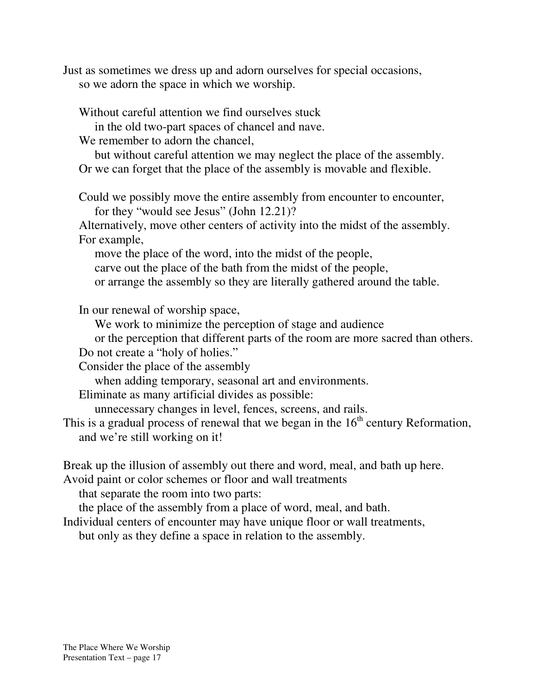Just as sometimes we dress up and adorn ourselves for special occasions, so we adorn the space in which we worship.

Without careful attention we find ourselves stuck

in the old two-part spaces of chancel and nave.

We remember to adorn the chancel,

but without careful attention we may neglect the place of the assembly. Or we can forget that the place of the assembly is movable and flexible.

Could we possibly move the entire assembly from encounter to encounter, for they "would see Jesus" (John 12.21)?

Alternatively, move other centers of activity into the midst of the assembly. For example,

move the place of the word, into the midst of the people, carve out the place of the bath from the midst of the people,

or arrange the assembly so they are literally gathered around the table.

In our renewal of worship space,

We work to minimize the perception of stage and audience

or the perception that different parts of the room are more sacred than others. Do not create a "holy of holies."

Consider the place of the assembly

when adding temporary, seasonal art and environments.

Eliminate as many artificial divides as possible:

unnecessary changes in level, fences, screens, and rails.

This is a gradual process of renewal that we began in the 16<sup>th</sup> century Reformation, and we're still working on it!

Break up the illusion of assembly out there and word, meal, and bath up here.

Avoid paint or color schemes or floor and wall treatments

that separate the room into two parts:

the place of the assembly from a place of word, meal, and bath.

Individual centers of encounter may have unique floor or wall treatments,

but only as they define a space in relation to the assembly.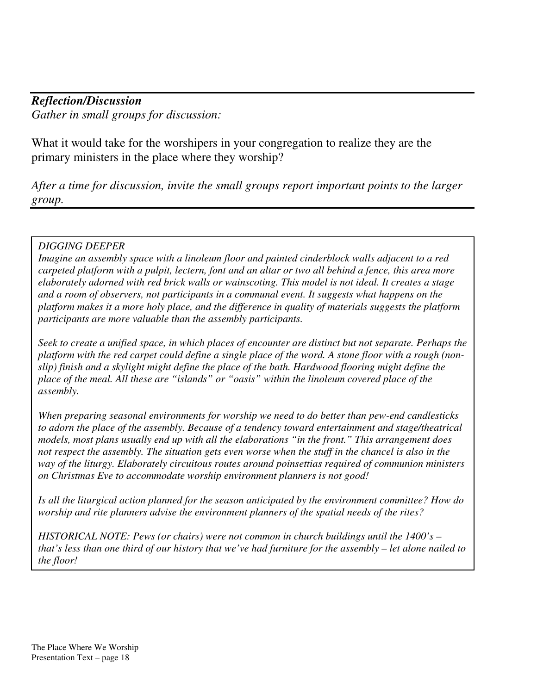## *Reflection/Discussion Gather in small groups for discussion:*

What it would take for the worshipers in your congregation to realize they are the primary ministers in the place where they worship?

*After a time for discussion, invite the small groups report important points to the larger group.*

#### *DIGGING DEEPER*

*Imagine an assembly space with a linoleum floor and painted cinderblock walls adjacent to a red* carpeted platform with a pulpit, lectern, font and an altar or two all behind a fence, this area more *elaborately adorned with red brick walls or wainscoting. This model is not ideal. It creates a stage and a room of observers, not participants in a communal event. It suggests what happens on the platform makes it a more holy place, and the difference in quality of materials suggests the platform participants are more valuable than the assembly participants.*

Seek to create a unified space, in which places of encounter are distinct but not separate. Perhaps the platform with the red carpet could define a single place of the word. A stone floor with a rough (non*slip) finish and a skylight might define the place of the bath. Hardwood flooring might define the place of the meal. All these are "islands" or "oasis" within the linoleum covered place of the assembly.*

*When preparing seasonal environments for worship we need to do better than pew-end candlesticks to adorn the place of the assembly. Because of a tendency toward entertainment and stage/theatrical models, most plans usually end up with all the elaborations "in the front." This arrangement does* not respect the assembly. The situation gets even worse when the stuff in the chancel is also in the *way of the liturgy. Elaborately circuitous routes around poinsettias required of communion ministers on Christmas Eve to accommodate worship environment planners is not good!*

*Is all the liturgical action planned for the season anticipated by the environment committee? How do worship and rite planners advise the environment planners of the spatial needs of the rites?*

*HISTORICAL NOTE: Pews (or chairs) were not common in church buildings until the 1400's –* that's less than one third of our history that we've had furniture for the assembly – let alone nailed to *the floor!*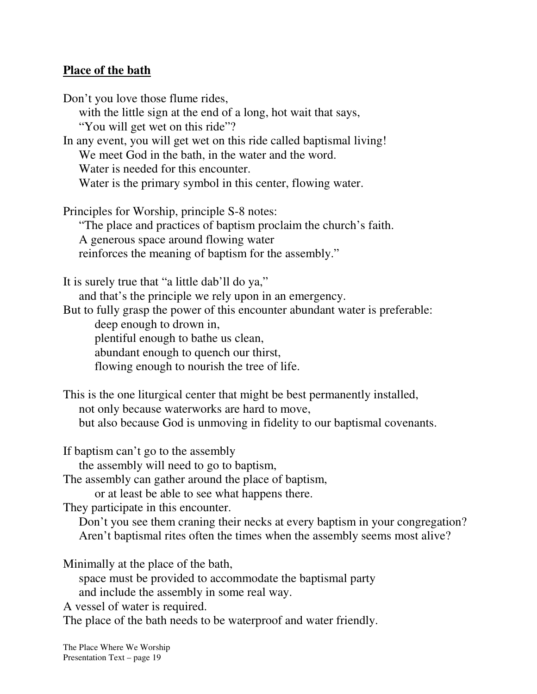#### **Place of the bath**

The Place Where We Worship Presentation Text – page 19 Don't you love those flume rides, with the little sign at the end of a long, hot wait that says, "You will get wet on this ride"? In any event, you will get wet on this ride called baptismal living! We meet God in the bath, in the water and the word. Water is needed for this encounter. Water is the primary symbol in this center, flowing water. Principles for Worship, principle S-8 notes: "The place and practices of baptism proclaim the church's faith. A generous space around flowing water reinforces the meaning of baptism for the assembly." It is surely true that "a little dab'll do ya," and that's the principle we rely upon in an emergency. But to fully grasp the power of this encounter abundant water is preferable: deep enough to drown in, plentiful enough to bathe us clean, abundant enough to quench our thirst, flowing enough to nourish the tree of life. This is the one liturgical center that might be best permanently installed, not only because waterworks are hard to move, but also because God is unmoving in fidelity to our baptismal covenants. If baptism can't go to the assembly the assembly will need to go to baptism, The assembly can gather around the place of baptism, or at least be able to see what happens there. They participate in this encounter. Don't you see them craning their necks at every baptism in your congregation? Aren't baptismal rites often the times when the assembly seems most alive? Minimally at the place of the bath, space must be provided to accommodate the baptismal party and include the assembly in some real way. A vessel of water is required. The place of the bath needs to be waterproof and water friendly.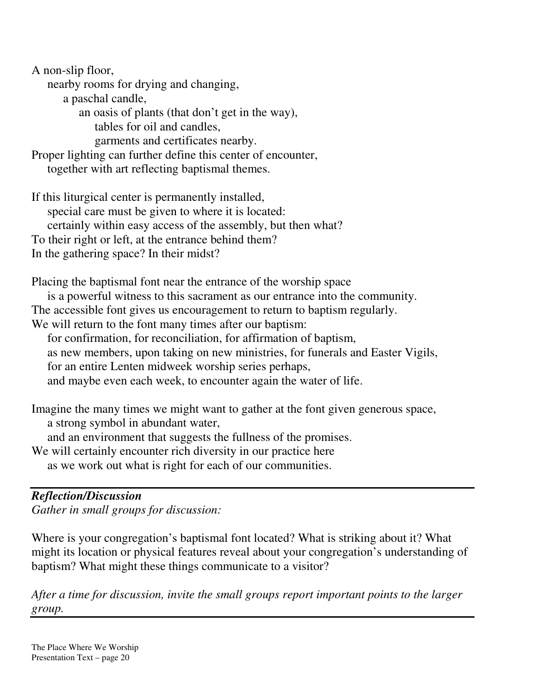A non-slip floor, nearby rooms for drying and changing, a paschal candle, an oasis of plants (that don't get in the way), tables for oil and candles, garments and certificates nearby. Proper lighting can further define this center of encounter,

together with art reflecting baptismal themes.

If this liturgical center is permanently installed, special care must be given to where it is located: certainly within easy access of the assembly, but then what? To their right or left, at the entrance behind them? In the gathering space? In their midst?

Placing the baptismal font near the entrance of the worship space is a powerful witness to this sacrament as our entrance into the community. The accessible font gives us encouragement to return to baptism regularly. We will return to the font many times after our baptism:

for confirmation, for reconciliation, for affirmation of baptism, as new members, upon taking on new ministries, for funerals and Easter Vigils, for an entire Lenten midweek worship series perhaps, and maybe even each week, to encounter again the water of life.

Imagine the many times we might want to gather at the font given generous space, a strong symbol in abundant water,

and an environment that suggests the fullness of the promises.

We will certainly encounter rich diversity in our practice here

as we work out what is right for each of our communities.

## *Reflection/Discussion*

*Gather in small groups for discussion:*

Where is your congregation's baptismal font located? What is striking about it? What might its location or physical features reveal about your congregation's understanding of baptism? What might these things communicate to a visitor?

*After a time for discussion, invite the small groups report important points to the larger group.*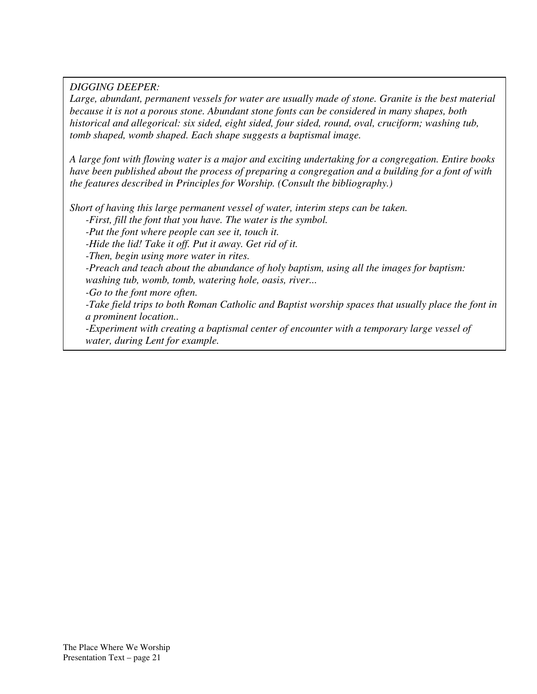#### *DIGGING DEEPER:*

*Large, abundant, permanent vessels for water are usually made of stone. Granite is the best material because it is not a porous stone. Abundant stone fonts can be considered in many shapes, both historical and allegorical: six sided, eight sided, four sided, round, oval, cruciform; washing tub, tomb shaped, womb shaped. Each shape suggests a baptismal image.*

*A large font with flowing water is a major and exciting undertaking for a congregation. Entire books* have been published about the process of preparing a congregation and a building for a font of with *the features described in Principles for Worship. (Consult the bibliography.)*

*Short of having this large permanent vessel of water, interim steps can be taken.*

*-First, fill the font that you have. The water is the symbol.*

*-Put the font where people can see it, touch it.*

*-Hide the lid! Take it off. Put it away. Get rid of it.*

*-Then, begin using more water in rites.*

*-Preach and teach about the abundance of holy baptism, using all the images for baptism: washing tub, womb, tomb, watering hole, oasis, river...*

*-Go to the font more often.*

*-Take field trips to both Roman Catholic and Baptist worship spaces that usually place the font in a prominent location..*

*-Experiment with creating a baptismal center of encounter with a temporary large vessel of water, during Lent for example.*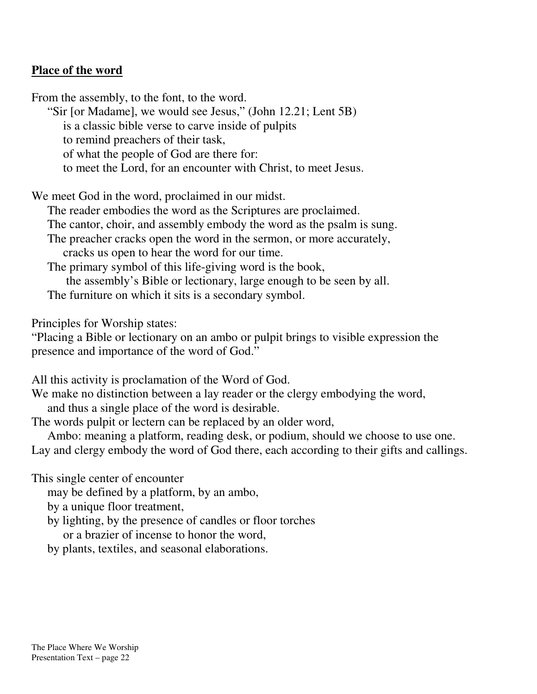#### **Place of the word**

From the assembly, to the font, to the word. "Sir [or Madame], we would see Jesus," (John 12.21; Lent 5B) is a classic bible verse to carve inside of pulpits to remind preachers of their task, of what the people of God are there for: to meet the Lord, for an encounter with Christ, to meet Jesus. We meet God in the word, proclaimed in our midst. The reader embodies the word as the Scriptures are proclaimed. The cantor, choir, and assembly embody the word as the psalm is sung. The preacher cracks open the word in the sermon, or more accurately, cracks us open to hear the word for our time. The primary symbol of this life-giving word is the book, the assembly's Bible or lectionary, large enough to be seen by all. The furniture on which it sits is a secondary symbol.

Principles for Worship states:

"Placing a Bible or lectionary on an ambo or pulpit brings to visible expression the presence and importance of the word of God."

All this activity is proclamation of the Word of God.

We make no distinction between a lay reader or the clergy embodying the word, and thus a single place of the word is desirable.

The words pulpit or lectern can be replaced by an older word,

Ambo: meaning a platform, reading desk, or podium, should we choose to use one. Lay and clergy embody the word of God there, each according to their gifts and callings.

This single center of encounter

may be defined by a platform, by an ambo,

by a unique floor treatment,

by lighting, by the presence of candles or floor torches

or a brazier of incense to honor the word,

by plants, textiles, and seasonal elaborations.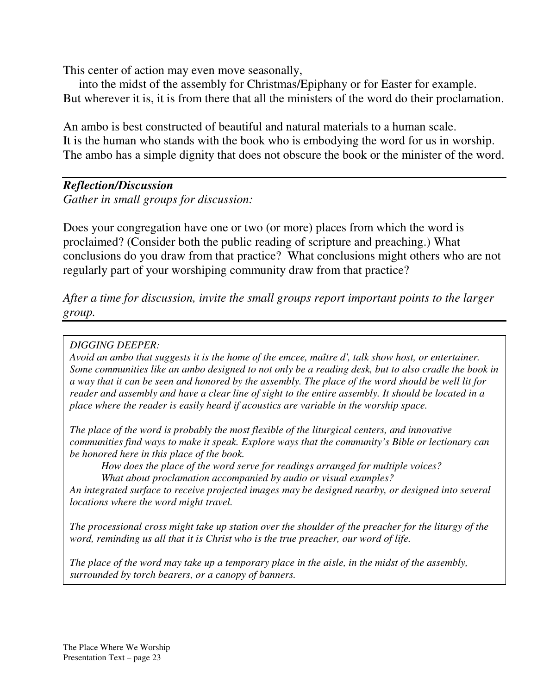This center of action may even move seasonally,

into the midst of the assembly for Christmas/Epiphany or for Easter for example. But wherever it is, it is from there that all the ministers of the word do their proclamation.

An ambo is best constructed of beautiful and natural materials to a human scale. It is the human who stands with the book who is embodying the word for us in worship. The ambo has a simple dignity that does not obscure the book or the minister of the word.

## *Reflection/Discussion Gather in small groups for discussion:*

Does your congregation have one or two (or more) places from which the word is proclaimed? (Consider both the public reading of scripture and preaching.) What conclusions do you draw from that practice? What conclusions might others who are not regularly part of your worshiping community draw from that practice?

*After a time for discussion, invite the small groups report important points to the larger group.*

*DIGGING DEEPER:*

Avoid an ambo that suggests it is the home of the emcee, maître d', talk show host, or entertainer. Some communities like an ambo designed to not only be a reading desk, but to also cradle the book in a way that it can be seen and honored by the assembly. The place of the word should be well lit for reader and assembly and have a clear line of sight to the entire assembly. It should be located in a *place where the reader is easily heard if acoustics are variable in the worship space.*

*The place of the word is probably the most flexible of the liturgical centers, and innovative communities find ways to make it speak. Explore ways that the community's Bible or lectionary can be honored here in this place of the book.*

*How does the place of the word serve for readings arranged for multiple voices? What about proclamation accompanied by audio or visual examples?*

*An integrated surface to receive projected images may be designed nearby, or designed into several locations where the word might travel.*

The processional cross might take up station over the shoulder of the preacher for the liturgy of the *word, reminding us all that it is Christ who is the true preacher, our word of life.*

The place of the word may take up a temporary place in the aisle, in the midst of the assembly, *surrounded by torch bearers, or a canopy of banners.*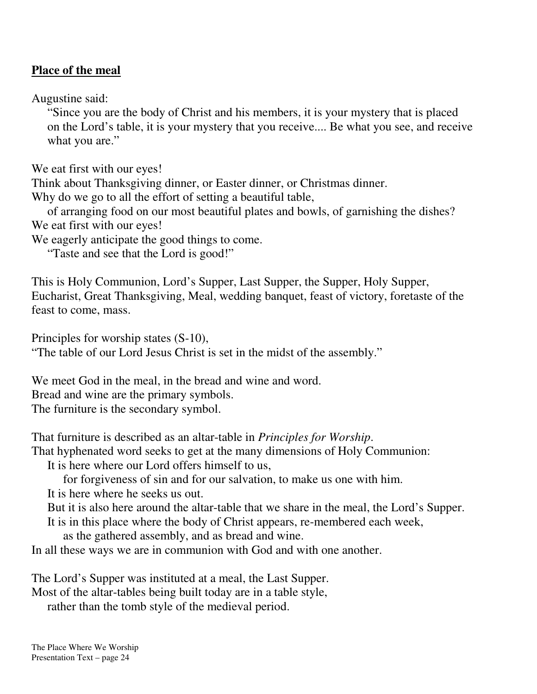## **Place of the meal**

Augustine said:

"Since you are the body of Christ and his members, it is your mystery that is placed on the Lord's table, it is your mystery that you receive.... Be what you see, and receive what you are."

We eat first with our eyes!

Think about Thanksgiving dinner, or Easter dinner, or Christmas dinner.

Why do we go to all the effort of setting a beautiful table,

of arranging food on our most beautiful plates and bowls, of garnishing the dishes? We eat first with our eyes!

We eagerly anticipate the good things to come.

"Taste and see that the Lord is good!"

This is Holy Communion, Lord's Supper, Last Supper, the Supper, Holy Supper, Eucharist, Great Thanksgiving, Meal, wedding banquet, feast of victory, foretaste of the feast to come, mass.

Principles for worship states (S-10),

"The table of our Lord Jesus Christ is set in the midst of the assembly."

We meet God in the meal, in the bread and wine and word. Bread and wine are the primary symbols.

The furniture is the secondary symbol.

That furniture is described as an altar-table in *Principles for Worship*.

That hyphenated word seeks to get at the many dimensions of Holy Communion:

It is here where our Lord offers himself to us,

for forgiveness of sin and for our salvation, to make us one with him.

It is here where he seeks us out.

But it is also here around the altar-table that we share in the meal, the Lord's Supper.

It is in this place where the body of Christ appears, re-membered each week,

as the gathered assembly, and as bread and wine.

In all these ways we are in communion with God and with one another.

The Lord's Supper was instituted at a meal, the Last Supper.

Most of the altar-tables being built today are in a table style,

rather than the tomb style of the medieval period.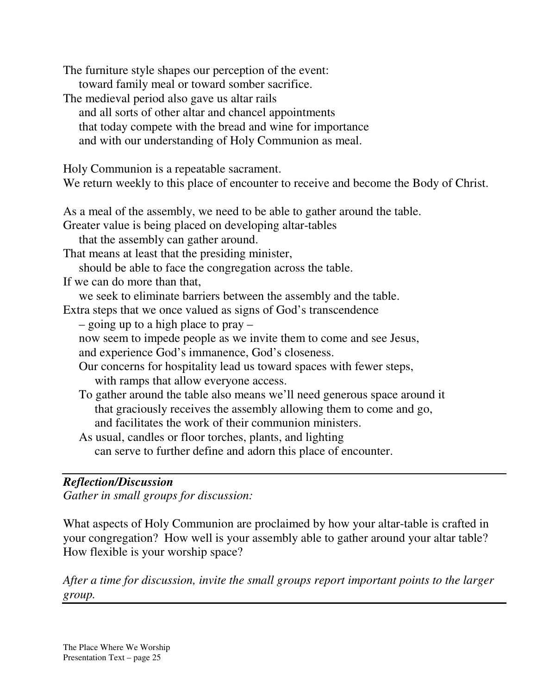The furniture style shapes our perception of the event: toward family meal or toward somber sacrifice.

The medieval period also gave us altar rails

and all sorts of other altar and chancel appointments

that today compete with the bread and wine for importance

and with our understanding of Holy Communion as meal.

Holy Communion is a repeatable sacrament.

We return weekly to this place of encounter to receive and become the Body of Christ.

As a meal of the assembly, we need to be able to gather around the table.

Greater value is being placed on developing altar-tables

that the assembly can gather around.

That means at least that the presiding minister,

should be able to face the congregation across the table.

If we can do more than that,

we seek to eliminate barriers between the assembly and the table.

Extra steps that we once valued as signs of God's transcendence

– going up to a high place to pray –

now seem to impede people as we invite them to come and see Jesus,

and experience God's immanence, God's closeness.

Our concerns for hospitality lead us toward spaces with fewer steps, with ramps that allow everyone access.

- To gather around the table also means we'll need generous space around it that graciously receives the assembly allowing them to come and go, and facilitates the work of their communion ministers.
- As usual, candles or floor torches, plants, and lighting can serve to further define and adorn this place of encounter.

## *Reflection/Discussion*

*Gather in small groups for discussion:*

What aspects of Holy Communion are proclaimed by how your altar-table is crafted in your congregation? How well is your assembly able to gather around your altar table? How flexible is your worship space?

*After a time for discussion, invite the small groups report important points to the larger group.*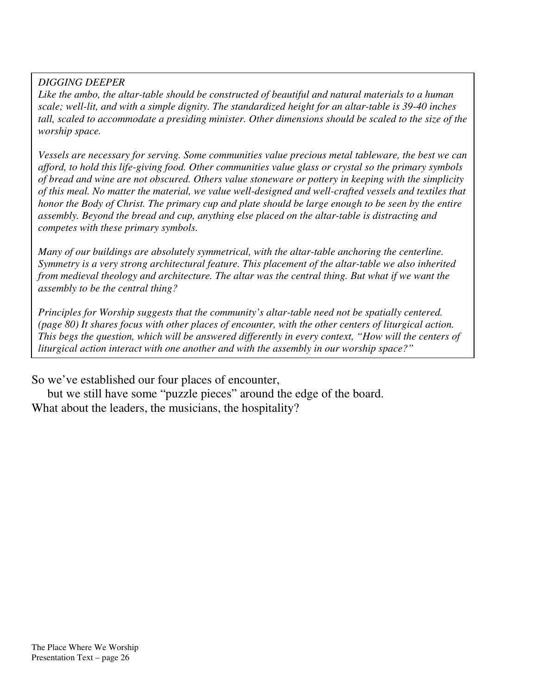#### *DIGGING DEEPER*

*Like the ambo, the altar-table should be constructed of beautiful and natural materials to a human scale; well-lit, and with a simple dignity. The standardized height for an altar-table is 39-40 inches tall, scaled to accommodate a presiding minister. Other dimensions should be scaled to the size of the worship space.*

*Vessels are necessary for serving. Some communities value precious metal tableware, the best we can afford, to hold this life-giving food. Other communities value glass or crystal so the primary symbols of bread and wine are not obscured. Others value stoneware or pottery in keeping with the simplicity of this meal. No matter the material, we value well-designed and well-crafted vessels and textiles that* honor the Body of Christ. The primary cup and plate should be large enough to be seen by the entire *assembly. Beyond the bread and cup, anything else placed on the altar-table is distracting and competes with these primary symbols.*

*Many of our buildings are absolutely symmetrical, with the altar-table anchoring the centerline. Symmetry is a very strong architectural feature. This placement of the altar-table we also inherited from medieval theology and architecture. The altar was the central thing. But what if we want the assembly to be the central thing?*

*Principles for Worship suggests that the community's altar-table need not be spatially centered. (page 80) It shares focus with other places of encounter, with the other centers of liturgical action. This begs the question, which will be answered differently in every context, "How will the centers of liturgical action interact with one another and with the assembly in our worship space?"*

So we've established our four places of encounter,

but we still have some "puzzle pieces" around the edge of the board. What about the leaders, the musicians, the hospitality?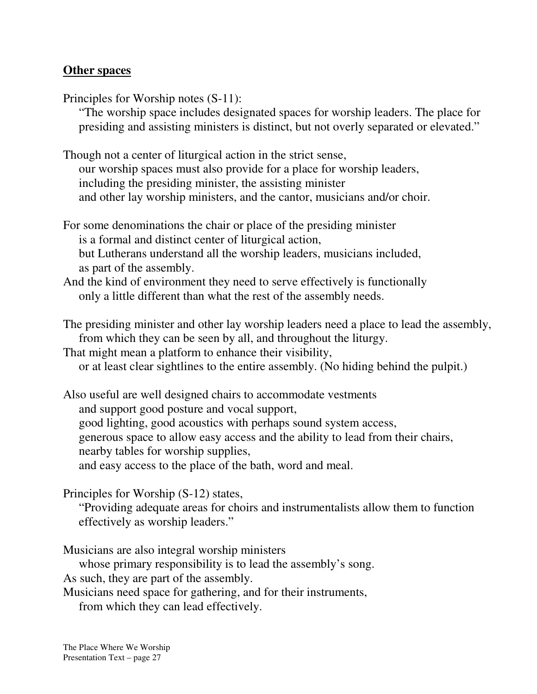#### **Other spaces**

Principles for Worship notes (S-11): "The worship space includes designated spaces for worship leaders. The place for presiding and assisting ministers is distinct, but not overly separated or elevated." Though not a center of liturgical action in the strict sense, our worship spaces must also provide for a place for worship leaders, including the presiding minister, the assisting minister and other lay worship ministers, and the cantor, musicians and/or choir. For some denominations the chair or place of the presiding minister is a formal and distinct center of liturgical action, but Lutherans understand all the worship leaders, musicians included, as part of the assembly. And the kind of environment they need to serve effectively is functionally only a little different than what the rest of the assembly needs. The presiding minister and other lay worship leaders need a place to lead the assembly, from which they can be seen by all, and throughout the liturgy. That might mean a platform to enhance their visibility, or at least clear sightlines to the entire assembly. (No hiding behind the pulpit.) Also useful are well designed chairs to accommodate vestments and support good posture and vocal support, good lighting, good acoustics with perhaps sound system access, generous space to allow easy access and the ability to lead from their chairs, nearby tables for worship supplies, and easy access to the place of the bath, word and meal. Principles for Worship (S-12) states, "Providing adequate areas for choirs and instrumentalists allow them to function effectively as worship leaders."

Musicians are also integral worship ministers

whose primary responsibility is to lead the assembly's song.

As such, they are part of the assembly.

Musicians need space for gathering, and for their instruments,

from which they can lead effectively.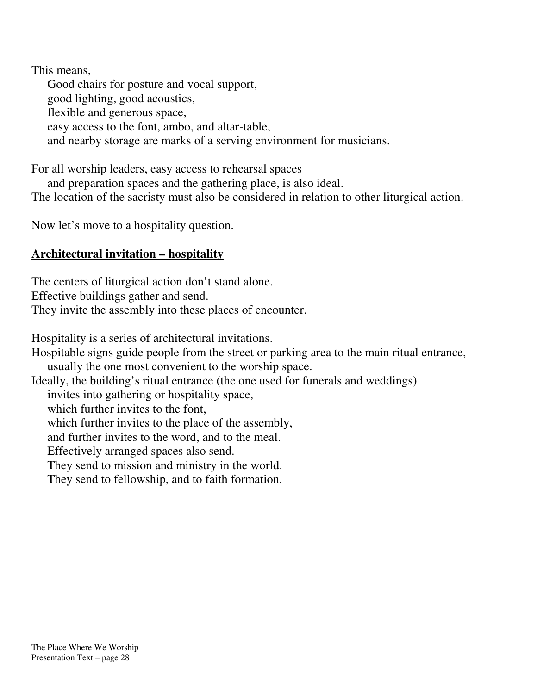This means,

Good chairs for posture and vocal support, good lighting, good acoustics, flexible and generous space, easy access to the font, ambo, and altar-table, and nearby storage are marks of a serving environment for musicians.

For all worship leaders, easy access to rehearsal spaces

and preparation spaces and the gathering place, is also ideal. The location of the sacristy must also be considered in relation to other liturgical action.

Now let's move to a hospitality question.

## **Architectural invitation – hospitality**

The centers of liturgical action don't stand alone. Effective buildings gather and send. They invite the assembly into these places of encounter.

Hospitality is a series of architectural invitations.

Hospitable signs guide people from the street or parking area to the main ritual entrance, usually the one most convenient to the worship space.

Ideally, the building's ritual entrance (the one used for funerals and weddings)

invites into gathering or hospitality space,

which further invites to the font,

which further invites to the place of the assembly,

and further invites to the word, and to the meal.

Effectively arranged spaces also send.

They send to mission and ministry in the world.

They send to fellowship, and to faith formation.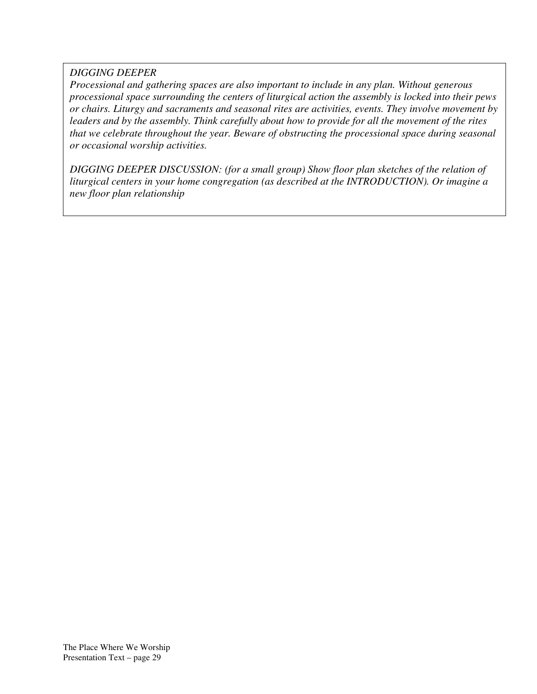#### *DIGGING DEEPER*

*Processional and gathering spaces are also important to include in any plan. Without generous processional space surrounding the centers of liturgical action the assembly is locked into their pews or chairs. Liturgy and sacraments and seasonal rites are activities, events. They involve movement by* leaders and by the assembly. Think carefully about how to provide for all the movement of the rites *that we celebrate throughout the year. Beware of obstructing the processional space during seasonal or occasional worship activities.*

*DIGGING DEEPER DISCUSSION: (for a small group) Show floor plan sketches of the relation of liturgical centers in your home congregation (as described at the INTRODUCTION). Or imagine a new floor plan relationship*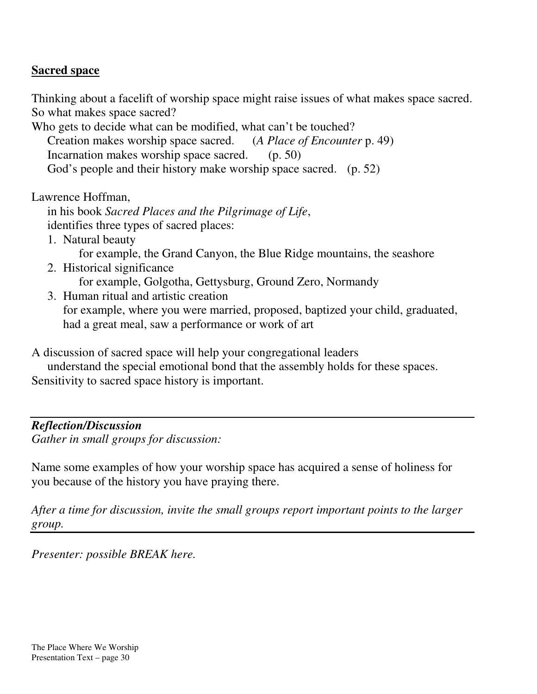#### **Sacred space**

Thinking about a facelift of worship space might raise issues of what makes space sacred. So what makes space sacred?

Who gets to decide what can be modified, what can't be touched? Creation makes worship space sacred. (*A Place of Encounter* p. 49) Incarnation makes worship space sacred. (p. 50) God's people and their history make worship space sacred. (p. 52)

Lawrence Hoffman,

in his book *Sacred Places and the Pilgrimage of Life*, identifies three types of sacred places:

- 1. Natural beauty for example, the Grand Canyon, the Blue Ridge mountains, the seashore
- 2. Historical significance for example, Golgotha, Gettysburg, Ground Zero, Normandy
- 3. Human ritual and artistic creation for example, where you were married, proposed, baptized your child, graduated, had a great meal, saw a performance or work of art

A discussion of sacred space will help your congregational leaders

understand the special emotional bond that the assembly holds for these spaces. Sensitivity to sacred space history is important.

## *Reflection/Discussion*

*Gather in small groups for discussion:*

Name some examples of how your worship space has acquired a sense of holiness for you because of the history you have praying there.

*After a time for discussion, invite the small groups report important points to the larger group.*

*Presenter: possible BREAK here.*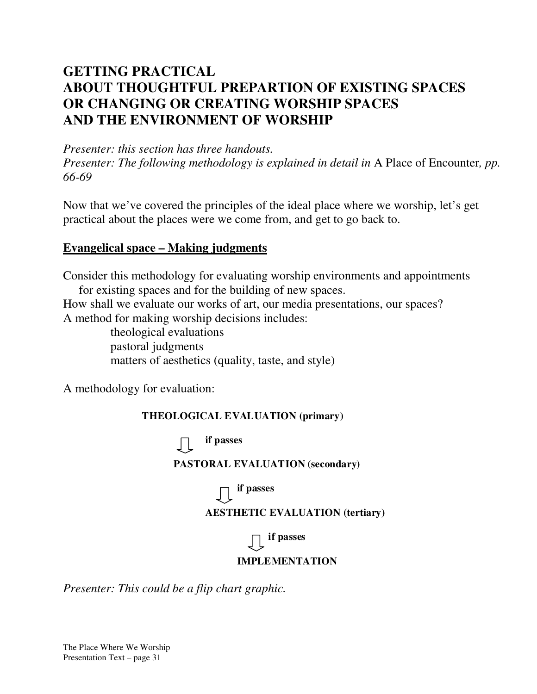# **GETTING PRACTICAL ABOUT THOUGHTFUL PREPARTION OF EXISTING SPACES OR CHANGING OR CREATING WORSHIP SPACES AND THE ENVIRONMENT OF WORSHIP**

*Presenter: this section has three handouts. Presenter: The following methodology is explained in detail in* A Place of Encounter*, pp. 66-69*

Now that we've covered the principles of the ideal place where we worship, let's get practical about the places were we come from, and get to go back to.

## **Evangelical space – Making judgments**

Consider this methodology for evaluating worship environments and appointments for existing spaces and for the building of new spaces.

How shall we evaluate our works of art, our media presentations, our spaces? A method for making worship decisions includes:

> theological evaluations pastoral judgments matters of aesthetics (quality, taste, and style)

A methodology for evaluation:

#### **THEOLOGICAL EVALUATION (primary)**

**if passes**

**PASTORAL EVALUATION (secondary)**

**if passes**

**AESTHETIC EVALUATION (tertiary)**

**if passes**

#### **IMPLEMENTATION**

*Presenter: This could be a flip chart graphic.*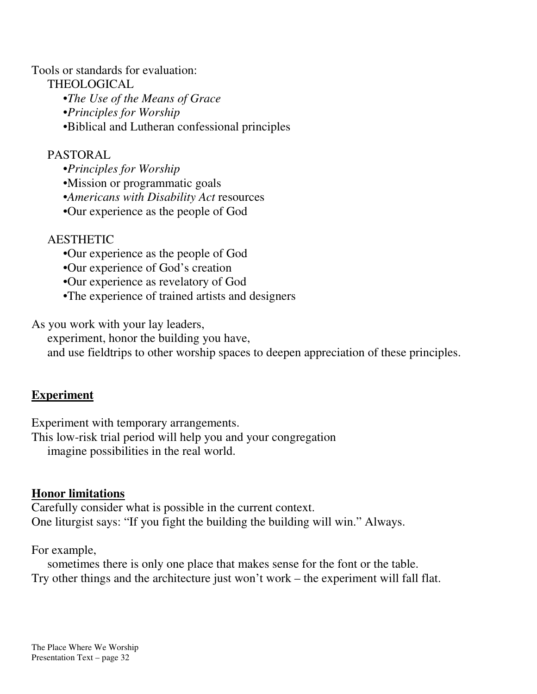Tools or standards for evaluation:

THEOLOGICAL

- •*The Use of the Means of Grace*
- •*Principles for Worship*
- •Biblical and Lutheran confessional principles

## PASTORAL

- •*Principles for Worship*
- •Mission or programmatic goals
- •*Americans with Disability Act* resources
- •Our experience as the people of God

# AESTHETIC

- •Our experience as the people of God
- •Our experience of God's creation
- •Our experience as revelatory of God
- •The experience of trained artists and designers

As you work with your lay leaders,

experiment, honor the building you have,

and use fieldtrips to other worship spaces to deepen appreciation of these principles.

## **Experiment**

Experiment with temporary arrangements.

This low-risk trial period will help you and your congregation imagine possibilities in the real world.

## **Honor limitations**

Carefully consider what is possible in the current context. One liturgist says: "If you fight the building the building will win." Always.

For example,

sometimes there is only one place that makes sense for the font or the table. Try other things and the architecture just won't work – the experiment will fall flat.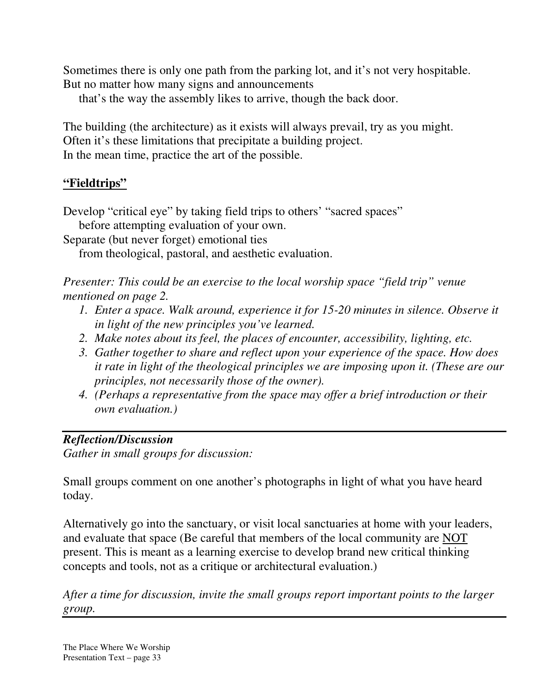Sometimes there is only one path from the parking lot, and it's not very hospitable. But no matter how many signs and announcements

that's the way the assembly likes to arrive, though the back door.

The building (the architecture) as it exists will always prevail, try as you might. Often it's these limitations that precipitate a building project. In the mean time, practice the art of the possible.

## **"Fieldtrips"**

Develop "critical eye" by taking field trips to others' "sacred spaces"

before attempting evaluation of your own.

Separate (but never forget) emotional ties

from theological, pastoral, and aesthetic evaluation.

*Presenter: This could be an exercise to the local worship space "field trip" venue mentioned on page 2.*

- *1. Enter a space. Walk around, experience it for 15-20 minutes in silence. Observe it in light of the new principles you've learned.*
- *2. Make notes about its feel, the places of encounter, accessibility, lighting, etc.*
- *3. Gather together to share and reflect upon your experience of the space. How does it rate in light of the theological principles we are imposing upon it. (These are our principles, not necessarily those of the owner).*
- *4. (Perhaps a representative from the space may offer a brief introduction or their own evaluation.)*

## *Reflection/Discussion*

*Gather in small groups for discussion:*

Small groups comment on one another's photographs in light of what you have heard today.

Alternatively go into the sanctuary, or visit local sanctuaries at home with your leaders, and evaluate that space (Be careful that members of the local community are NOT present. This is meant as a learning exercise to develop brand new critical thinking concepts and tools, not as a critique or architectural evaluation.)

*After a time for discussion, invite the small groups report important points to the larger group.*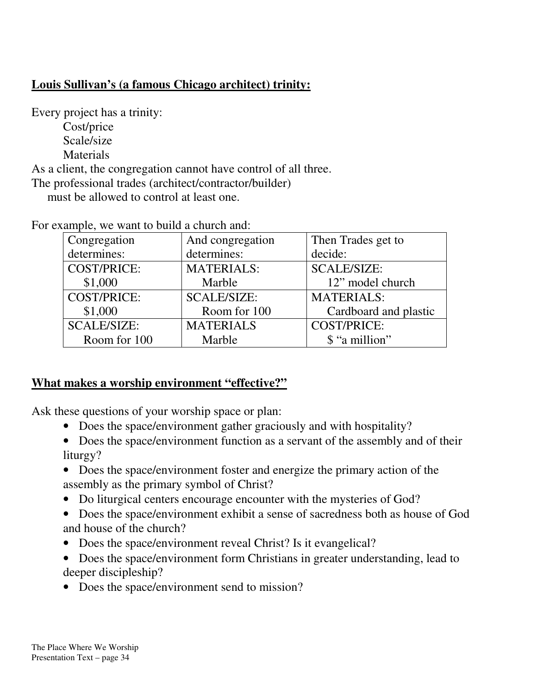## **Louis Sullivan's (a famous Chicago architect) trinity:**

Every project has a trinity:

Cost/price Scale/size

**Materials** 

As a client, the congregation cannot have control of all three.

The professional trades (architect/contractor/builder)

must be allowed to control at least one.

For example, we want to build a church and:

| Congregation       | And congregation   | Then Trades get to    |
|--------------------|--------------------|-----------------------|
| determines:        | determines:        | decide:               |
| <b>COST/PRICE:</b> | <b>MATERIALS:</b>  | <b>SCALE/SIZE:</b>    |
| \$1,000            | Marble             | 12" model church      |
| <b>COST/PRICE:</b> | <b>SCALE/SIZE:</b> | <b>MATERIALS:</b>     |
| \$1,000            | Room for 100       | Cardboard and plastic |
| <b>SCALE/SIZE:</b> | <b>MATERIALS</b>   | <b>COST/PRICE:</b>    |
| Room for 100       | Marble             | \$ "a million"        |

## **What makes a worship environment "effective?"**

Ask these questions of your worship space or plan:

- Does the space/environment gather graciously and with hospitality?
- Does the space/environment function as a servant of the assembly and of their liturgy?
- Does the space/environment foster and energize the primary action of the assembly as the primary symbol of Christ?
- Do liturgical centers encourage encounter with the mysteries of God?
- Does the space/environment exhibit a sense of sacredness both as house of God and house of the church?
- Does the space/environment reveal Christ? Is it evangelical?
- Does the space/environment form Christians in greater understanding, lead to deeper discipleship?
- Does the space/environment send to mission?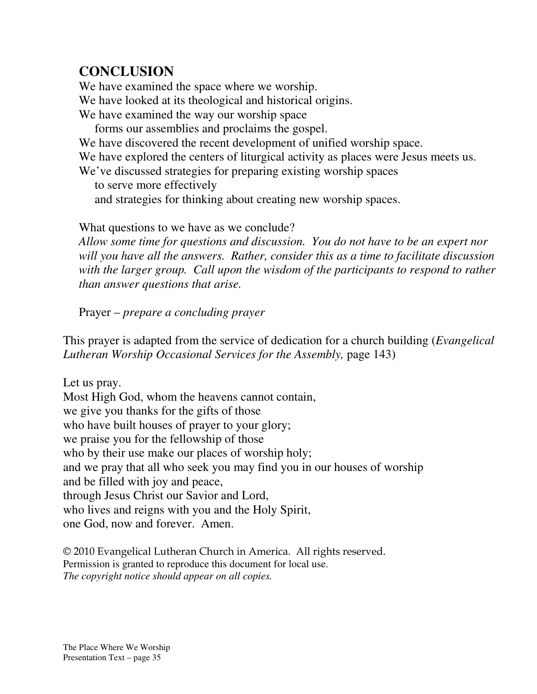# **CONCLUSION**

We have examined the space where we worship. We have looked at its theological and historical origins. We have examined the way our worship space

forms our assemblies and proclaims the gospel.

We have discovered the recent development of unified worship space.

We have explored the centers of liturgical activity as places were Jesus meets us.

We've discussed strategies for preparing existing worship spaces

to serve more effectively and strategies for thinking about creating new worship spaces.

What questions to we have as we conclude?

*Allow some time for questions and discussion. You do not have to be an expert nor will you have all the answers. Rather, consider this as a time to facilitate discussion with the larger group. Call upon the wisdom of the participants to respond to rather than answer questions that arise.*

Prayer – *prepare a concluding prayer*

This prayer is adapted from the service of dedication for a church building (*Evangelical Lutheran Worship Occasional Services for the Assembly,* page 143)

Let us pray. Most High God, whom the heavens cannot contain, we give you thanks for the gifts of those who have built houses of prayer to your glory; we praise you for the fellowship of those who by their use make our places of worship holy; and we pray that all who seek you may find you in our houses of worship and be filled with joy and peace, through Jesus Christ our Savior and Lord, who lives and reigns with you and the Holy Spirit, one God, now and forever. Amen.

© 2010 Evangelical Lutheran Church in America. All rights reserved. Permission is granted to reproduce this document for local use. *The copyright notice should appear on all copies.*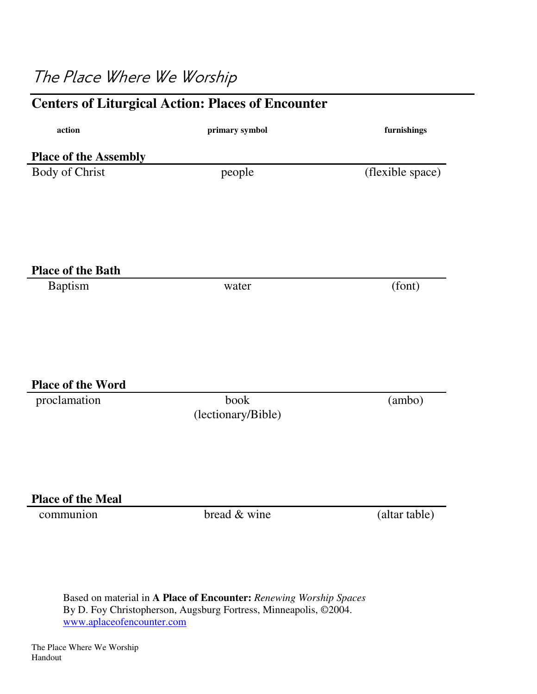# The Place Where We Worship **Centers of Liturgical Action: Places of Encounter action primary symbol furnishings Place of the Assembly** Body of Christ people (flexible space) **Place of the Bath** Baptism water (font) **Place of the Word** proclamation book (lectionary/Bible) (ambo) **Place of the Meal** communion bread & wine (altar table)

Based on material in **A Place of Encounter:** *Renewing Worship Spaces* By D. Foy Christopherson, Augsburg Fortress, Minneapolis, ©2004. www.aplaceofencounter.com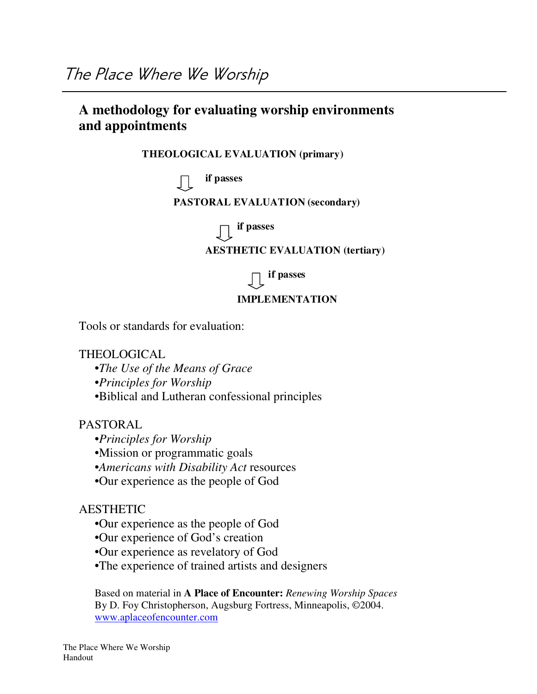## **A methodology for evaluating worship environments and appointments**

#### **THEOLOGICAL EVALUATION (primary)**

**if passes**

#### **PASTORAL EVALUATION (secondary)**

**if passes**

#### **AESTHETIC EVALUATION (tertiary)**

**if passes**

#### **IMPLEMENTATION**

Tools or standards for evaluation:

#### THEOLOGICAL

- •*The Use of the Means of Grace*
- •*Principles for Worship*
- •Biblical and Lutheran confessional principles

#### PASTORAL

- •*Principles for Worship*
- •Mission or programmatic goals
- •*Americans with Disability Act* resources
- •Our experience as the people of God

AESTHETIC

- •Our experience as the people of God
- •Our experience of God's creation
- •Our experience as revelatory of God
- •The experience of trained artists and designers

Based on material in **A Place of Encounter:** *Renewing Worship Spaces* By D. Foy Christopherson, Augsburg Fortress, Minneapolis, ©2004. www.aplaceofencounter.com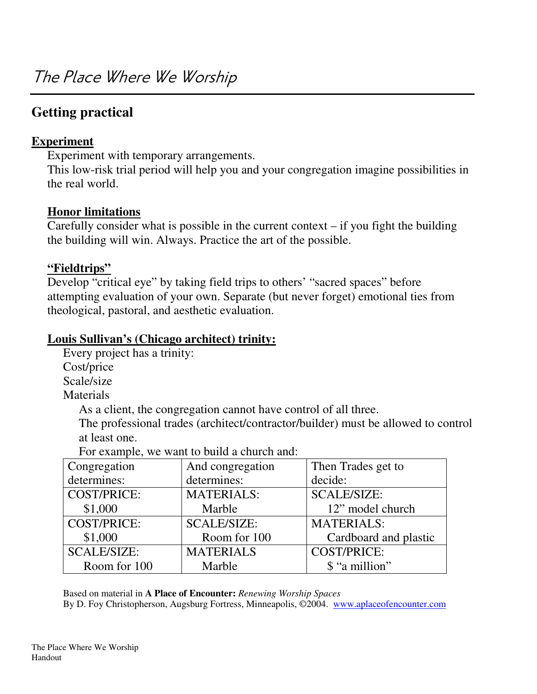# **Getting practical**

## **Experiment**

Experiment with temporary arrangements.

This low-risk trial period will help you and your congregation imagine possibilities in the real world.

#### **Honor limitations**

Carefully consider what is possible in the current context  $-$  if you fight the building the building will win. Always. Practice the art of the possible.

#### **"Fieldtrips"**

Develop "critical eye" by taking field trips to others' "sacred spaces" before attempting evaluation of your own. Separate (but never forget) emotional ties from theological, pastoral, and aesthetic evaluation.

#### **Louis Sullivan's (Chicago architect) trinity:**

Every project has a trinity:

Cost/price

Scale/size

**Materials** 

As a client, the congregation cannot have control of all three.

The professional trades (architect/contractor/builder) must be allowed to control at least one.

For example, we want to build a church and:

| .                  |                    |                       |  |  |  |
|--------------------|--------------------|-----------------------|--|--|--|
| Congregation       | And congregation   | Then Trades get to    |  |  |  |
| determines:        | determines:        | decide:               |  |  |  |
| <b>COST/PRICE:</b> | <b>MATERIALS:</b>  | <b>SCALE/SIZE:</b>    |  |  |  |
| \$1,000            | Marble             | 12" model church      |  |  |  |
| <b>COST/PRICE:</b> | <b>SCALE/SIZE:</b> | <b>MATERIALS:</b>     |  |  |  |
| \$1,000            | Room for 100       | Cardboard and plastic |  |  |  |
| <b>SCALE/SIZE:</b> | <b>MATERIALS</b>   | <b>COST/PRICE:</b>    |  |  |  |
| Room for 100       | Marble             | \$ "a million"        |  |  |  |

Based on material in **A Place of Encounter:** *Renewing Worship Spaces*

By D. Foy Christopherson, Augsburg Fortress, Minneapolis, ©2004. www.aplaceofencounter.com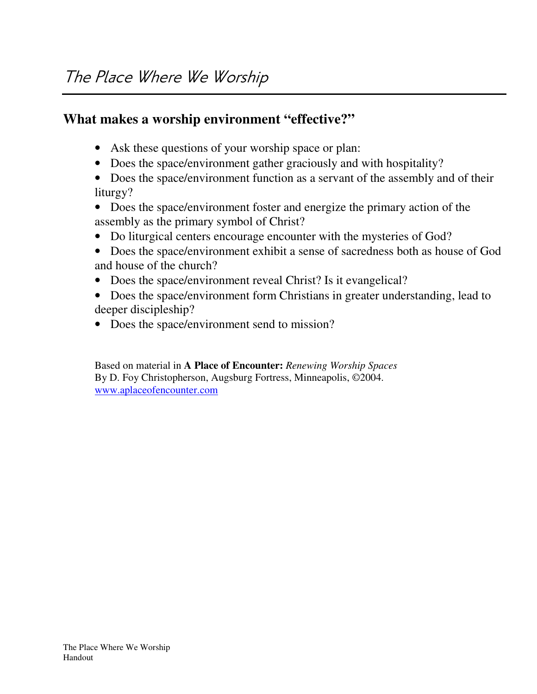## **What makes a worship environment "effective?"**

- Ask these questions of your worship space or plan:
- Does the space/environment gather graciously and with hospitality?
- Does the space/environment function as a servant of the assembly and of their liturgy?
- Does the space/environment foster and energize the primary action of the assembly as the primary symbol of Christ?
- Do liturgical centers encourage encounter with the mysteries of God?
- Does the space/environment exhibit a sense of sacredness both as house of God and house of the church?
- Does the space/environment reveal Christ? Is it evangelical?
- Does the space/environment form Christians in greater understanding, lead to deeper discipleship?
- Does the space/environment send to mission?

Based on material in **A Place of Encounter:** *Renewing Worship Spaces* By D. Foy Christopherson, Augsburg Fortress, Minneapolis, ©2004. www.aplaceofencounter.com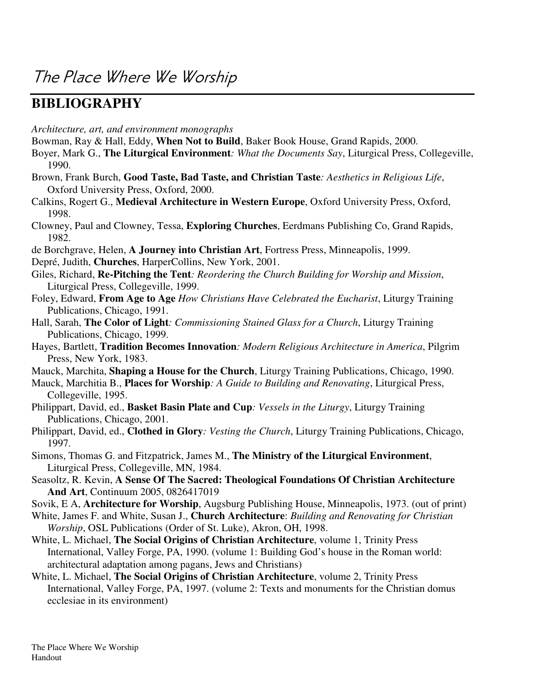# **BIBLIOGRAPHY**

*Architecture, art, and environment monographs*

- Bowman, Ray & Hall, Eddy, **When Not to Build**, Baker Book House, Grand Rapids, 2000.
- Boyer, Mark G., **The Liturgical Environment***: What the Documents Say*, Liturgical Press, Collegeville, 1990.
- Brown, Frank Burch, **Good Taste, Bad Taste, and Christian Taste***: Aesthetics in Religious Life*, Oxford University Press, Oxford, 2000.
- Calkins, Rogert G., **Medieval Architecture in Western Europe**, Oxford University Press, Oxford, 1998.
- Clowney, Paul and Clowney, Tessa, **Exploring Churches**, Eerdmans Publishing Co, Grand Rapids, 1982.
- de Borchgrave, Helen, **A Journey into Christian Art**, Fortress Press, Minneapolis, 1999.
- Depré, Judith, **Churches**, HarperCollins, New York, 2001.
- Giles, Richard, **Re-Pitching the Tent***: Reordering the Church Building for Worship and Mission*, Liturgical Press, Collegeville, 1999.
- Foley, Edward, **From Age to Age** *How Christians Have Celebrated the Eucharist*, Liturgy Training Publications, Chicago, 1991.
- Hall, Sarah, **The Color of Light***: Commissioning Stained Glass for a Church*, Liturgy Training Publications, Chicago, 1999.
- Hayes, Bartlett, **Tradition Becomes Innovation***: Modern Religious Architecture in America*, Pilgrim Press, New York, 1983.
- Mauck, Marchita, **Shaping a House for the Church**, Liturgy Training Publications, Chicago, 1990.
- Mauck, Marchitia B., **Places for Worship***: A Guide to Building and Renovating*, Liturgical Press, Collegeville, 1995.
- Philippart, David, ed., **Basket Basin Plate and Cup***: Vessels in the Liturgy*, Liturgy Training Publications, Chicago, 2001.
- Philippart, David, ed., **Clothed in Glory***: Vesting the Church*, Liturgy Training Publications, Chicago, 1997.
- Simons, Thomas G. and Fitzpatrick, James M., **The Ministry of the Liturgical Environment**, Liturgical Press, Collegeville, MN, 1984.
- Seasoltz, R. Kevin, **A Sense Of The Sacred: Theological Foundations Of Christian Architecture And Art**, Continuum 2005, 0826417019
- Sovik, E A, **Architecture for Worship**, Augsburg Publishing House, Minneapolis, 1973. (out of print)
- White, James F. and White, Susan J., **Church Architecture**: *Building and Renovating for Christian Worship*, OSL Publications (Order of St. Luke), Akron, OH, 1998.
- White, L. Michael, **The Social Origins of Christian Architecture**, volume 1, Trinity Press International, Valley Forge, PA, 1990. (volume 1: Building God's house in the Roman world: architectural adaptation among pagans, Jews and Christians)
- White, L. Michael, **The Social Origins of Christian Architecture**, volume 2, Trinity Press International, Valley Forge, PA, 1997. (volume 2: Texts and monuments for the Christian domus ecclesiae in its environment)